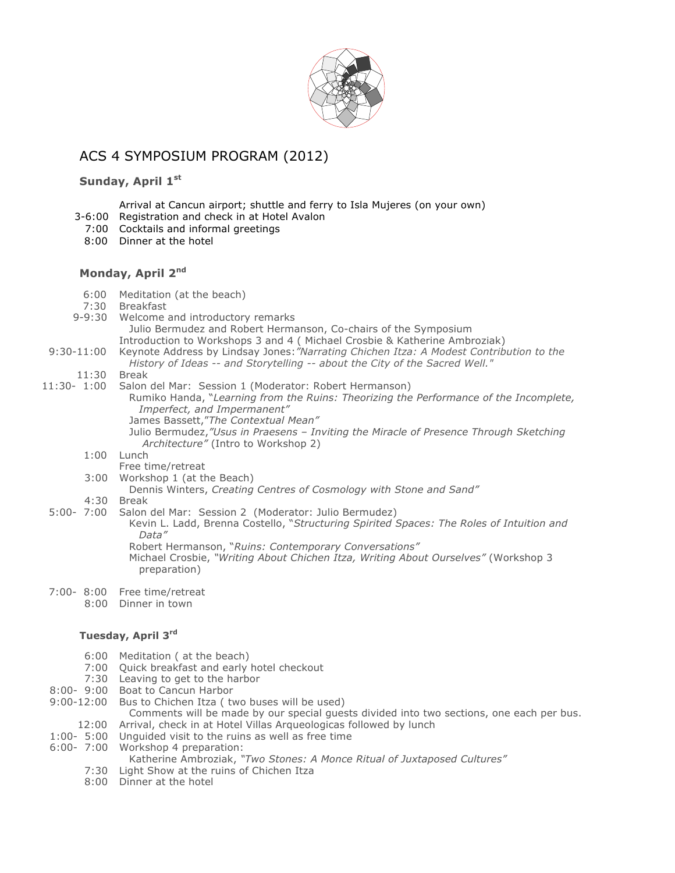

# ACS 4 SYMPOSIUM PROGRAM (2012)

## **Sunday, April 1st**

### Arrival at Cancun airport; shuttle and ferry to Isla Mujeres (on your own)

- 3-6:00 Registration and check in at Hotel Avalon
- 7:00 Cocktails and informal greetings
- 8:00 Dinner at the hotel

## **Monday, April 2nd**

- 6:00 Meditation (at the beach)
- 7:30 Breakfast
- 9-9:30 Welcome and introductory remarks Julio Bermudez and Robert Hermanson, Co-chairs of the Symposium
- Introduction to Workshops 3 and 4 ( Michael Crosbie & Katherine Ambroziak) 9:30-11:00 Keynote Address by Lindsay Jones:*"Narrating Chichen Itza: A Modest Contribution to the* 
	- *History of Ideas -- and Storytelling -- about the City of the Sacred Well."*
	- 11:30 Break
- 11:30- 1:00 Salon del Mar: Session 1 (Moderator: Robert Hermanson) Rumiko Handa, "*Learning from the Ruins: Theorizing the Performance of the Incomplete, Imperfect, and Impermanent"* James Bassett,"*The Contextual Mean"* Julio Bermudez,*"Usus in Praesens – Inviting the Miracle of Presence Through Sketching Architecture"* (Intro to Workshop 2)
	- 1:00 Lunch
		- Free time/retreat
	- 3:00 Workshop 1 (at the Beach)
		- Dennis Winters, *Creating Centres of Cosmology with Stone and Sand"*
	- 4:30 Break
	- 5:00- 7:00 Salon del Mar: Session 2 (Moderator: Julio Bermudez) Kevin L. Ladd, Brenna Costello, "*Structuring Spirited Spaces: The Roles of Intuition and Data"*

Robert Hermanson, "*Ruins: Contemporary Conversations"*

- Michael Crosbie, *"Writing About Chichen Itza, Writing About Ourselves"* (Workshop 3 preparation)
- 7:00- 8:00 Free time/retreat
	- 8:00 Dinner in town

#### **Tuesday, April 3rd**

- 6:00 Meditation ( at the beach)
- 7:00 Quick breakfast and early hotel checkout
- 7:30 Leaving to get to the harbor
- 8:00- 9:00 Boat to Cancun Harbor
- 9:00-12:00 Bus to Chichen Itza ( two buses will be used)

Comments will be made by our special guests divided into two sections, one each per bus. 12:00 Arrival, check in at Hotel Villas Arqueologicas followed by lunch

- 1:00- 5:00 Unguided visit to the ruins as well as free time
- 6:00- 7:00 Workshop 4 preparation:
	- Katherine Ambroziak, *"Two Stones: A Monce Ritual of Juxtaposed Cultures"*
	- 7:30 Light Show at the ruins of Chichen Itza
	- 8:00 Dinner at the hotel